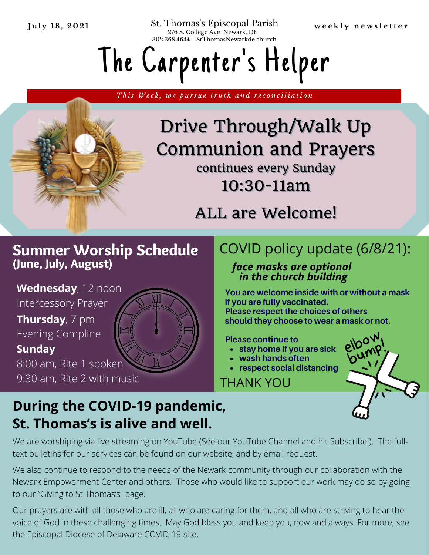St. Thomas's Episcopal Parish 276 S. College Ave Newark, DE **J u l y 1 8 , 2 0 2 1 w e e k l y n e w s l e t t e r** 302.368.4644 StThomasNewarkde.church

# The Carpenter 's Helper

This Week, we pursue truth and reconciliation

# Drive Through/Walk Up Communion and Prayers

## Summer Worship Schedule (June, July, August)

**Wednesday**, 12 noon Intercessory Prayer **Thursday**, 7 pm Evening Compline **Sunday**

8:00 am, Rite 1 spoken 9:30 am, Rite 2 with music

## COVID policy update (6/8/21):

#### *face masks are optional in the church building*

**You are welcome inside with or without a mask if you are fully vaccinated. Please respect the choices of others should they choose to wear a mask or not.**

**Please continue to**

THANK YOU

continues every Sunday

10:30-11am

ALL are Welcome!

- **stay home if you are sick**
- **wash hands often**
- **respect social distancing**



## **During the COVID-19 pandemic, St. Thomas's is alive and well.**

We are worshiping via live streaming on YouTube (See our YouTube Channel and hit Subscribe!). The fulltext bulletins for our services can be found on our website, and by email request.

We also continue to respond to the needs of the Newark community through our collaboration with the Newark Empowerment Center and others. Those who would like to support our work may do so by going to our "Giving to St Thomas's" page.

Our prayers are with all those who are ill, all who are caring for them, and all who are striving to hear the voice of God in these challenging times. May God bless you and keep you, now and always. For more, see the Episcopal Diocese of Delaware COVID-19 site.